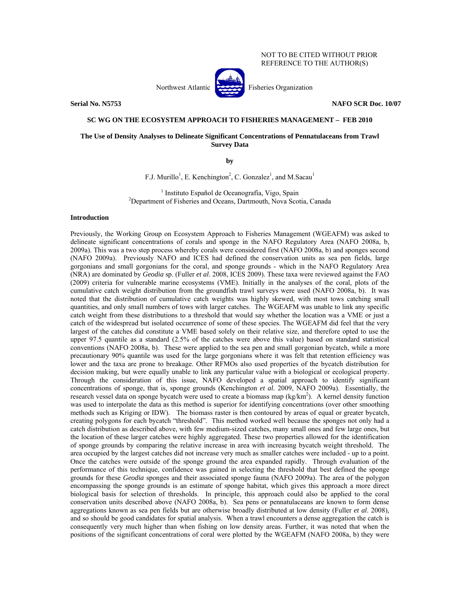## NOT TO BE CITED WITHOUT PRIOR REFERENCE TO THE AUTHOR(S)

Northwest Atlantic Fisheries Organization

**Serial No. N5753 NAFO SCR Doc. 10/07** 

# **SC WG ON THE ECOSYSTEM APPROACH TO FISHERIES MANAGEMENT – FEB 2010**

# **The Use of Density Analyses to Delineate Significant Concentrations of Pennatulaceans from Trawl Survey Data**

**by** 

F.J. Murillo<sup>1</sup>, E. Kenchington<sup>2</sup>, C. Gonzalez<sup>1</sup>, and M.Sacau<sup>1</sup>

<sup>1</sup> Instituto Español de Oceanografía, Vigo, Spain<br><sup>2</sup>Department of Eisherias and Oceans, Dertmeuth, Neve Sect Department of Fisheries and Oceans, Dartmouth, Nova Scotia, Canada

### **Introduction**

Previously, the Working Group on Ecosystem Approach to Fisheries Management (WGEAFM) was asked to delineate significant concentrations of corals and sponge in the NAFO Regulatory Area (NAFO 2008a, b, 2009a). This was a two step process whereby corals were considered first (NAFO 2008a, b) and sponges second (NAFO 2009a). Previously NAFO and ICES had defined the conservation units as sea pen fields, large gorgonians and small gorgonians for the coral, and sponge grounds - which in the NAFO Regulatory Area (NRA) are dominated by *Geodia* sp. (Fuller *et al*. 2008, ICES 2009). These taxa were reviewed against the FAO (2009) criteria for vulnerable marine ecosystems (VME). Initially in the analyses of the coral, plots of the cumulative catch weight distribution from the groundfish trawl surveys were used (NAFO 2008a, b). It was noted that the distribution of cumulative catch weights was highly skewed, with most tows catching small quantities, and only small numbers of tows with larger catches. The WGEAFM was unable to link any specific catch weight from these distributions to a threshold that would say whether the location was a VME or just a catch of the widespread but isolated occurrence of some of these species. The WGEAFM did feel that the very largest of the catches did constitute a VME based solely on their relative size, and therefore opted to use the upper 97.5 quantile as a standard (2.5% of the catches were above this value) based on standard statistical conventions (NAFO 2008a, b). These were applied to the sea pen and small gorgonian bycatch, while a more precautionary 90% quantile was used for the large gorgonians where it was felt that retention efficiency was lower and the taxa are prone to breakage. Other RFMOs also used properties of the bycatch distribution for decision making, but were equally unable to link any particular value with a biological or ecological property. Through the consideration of this issue, NAFO developed a spatial approach to identify significant concentrations of sponge, that is, sponge grounds (Kenchington *et al.* 2009, NAFO 2009a). Essentially, the research vessel data on sponge bycatch were used to create a biomass map (kg/km<sup>2</sup>). A kernel density function was used to interpolate the data as this method is superior for identifying concentrations (over other smoothing methods such as Kriging or IDW). The biomass raster is then contoured by areas of equal or greater bycatch, creating polygons for each bycatch "threshold". This method worked well because the sponges not only had a catch distribution as described above, with few medium-sized catches, many small ones and few large ones, but the location of these larger catches were highly aggregated. These two properties allowed for the identification of sponge grounds by comparing the relative increase in area with increasing bycatch weight threshold. The area occupied by the largest catches did not increase very much as smaller catches were included - up to a point. Once the catches were outside of the sponge ground the area expanded rapidly. Through evaluation of the performance of this technique, confidence was gained in selecting the threshold that best defined the sponge grounds for these *Geodia* sponges and their associated sponge fauna (NAFO 2009a). The area of the polygon encompassing the sponge grounds is an estimate of sponge habitat, which gives this approach a more direct biological basis for selection of thresholds. In principle, this approach could also be applied to the coral conservation units described above (NAFO 2008a, b). Sea pens or pennatulaceans are known to form dense aggregations known as sea pen fields but are otherwise broadly distributed at low density (Fuller *et al*. 2008), and so should be good candidates for spatial analysis. When a trawl encounters a dense aggregation the catch is consequently very much higher than when fishing on low density areas. Further, it was noted that when the positions of the significant concentrations of coral were plotted by the WGEAFM (NAFO 2008a, b) they were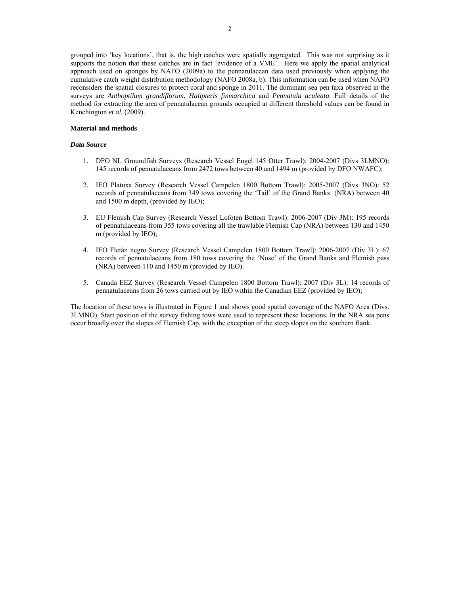grouped into 'key locations', that is, the high catches were spatially aggregated. This was not surprising as it supports the notion that these catches are in fact 'evidence of a VME'. Here we apply the spatial analytical approach used on sponges by NAFO (2009a) to the pennatulacean data used previously when applying the cumulative catch weight distribution methodology (NAFO 2008a, b). This information can be used when NAFO reconsiders the spatial closures to protect coral and sponge in 2011. The dominant sea pen taxa observed in the surveys are *Anthoptilum grandiflorum*, *Halipteris finmarchica* and *Pennatula aculeata*. Full details of the method for extracting the area of pennatulacean grounds occupied at different threshold values can be found in Kenchington *et al.* (2009).

# **Material and methods**

# *Data Source*

- 1. DFO NL Groundfish Surveys (Research Vessel Engel 145 Otter Trawl): 2004-2007 (Divs 3LMNO): 145 records of pennatulaceans from 2472 tows between 40 and 1494 m (provided by DFO NWAFC);
- 2. IEO Platuxa Survey (Research Vessel Campelen 1800 Bottom Trawl): 2005-2007 (Divs 3NO): 52 records of pennatulaceans from 349 tows covering the 'Tail' of the Grand Banks (NRA) between 40 and 1500 m depth, (provided by IEO);
- 3. EU Flemish Cap Survey (Research Vessel Lofoten Bottom Trawl): 2006-2007 (Div 3M): 195 records of pennatulaceans from 355 tows covering all the trawlable Flemish Cap (NRA) between 130 and 1450 m (provided by IEO);
- 4. IEO Fletán negro Survey (Research Vessel Campelen 1800 Bottom Trawl): 2006-2007 (Div 3L): 67 records of pennatulaceans from 180 tows covering the 'Nose' of the Grand Banks and Flemish pass (NRA) between 110 and 1450 m (provided by IEO).
- 5. Canada EEZ Survey (Research Vessel Campelen 1800 Bottom Trawl): 2007 (Div 3L): 14 records of pennatulaceans from 26 tows carried out by IEO within the Canadian EEZ (provided by IEO);

The location of these tows is illustrated in Figure 1 and shows good spatial coverage of the NAFO Area (Divs. 3LMNO). Start position of the survey fishing tows were used to represent these locations. In the NRA sea pens occur broadly over the slopes of Flemish Cap, with the exception of the steep slopes on the southern flank.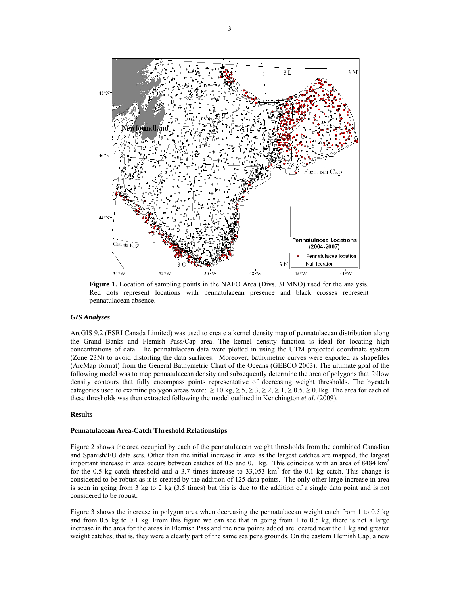

**Figure 1.** Location of sampling points in the NAFO Area (Divs. 3LMNO) used for the analysis. Red dots represent locations with pennatulacean presence and black crosses represent pennatulacean absence.

# *GIS Analyses*

ArcGIS 9.2 (ESRI Canada Limited) was used to create a kernel density map of pennatulacean distribution along the Grand Banks and Flemish Pass/Cap area. The kernel density function is ideal for locating high concentrations of data. The pennatulacean data were plotted in using the UTM projected coordinate system (Zone 23N) to avoid distorting the data surfaces. Moreover, bathymetric curves were exported as shapefiles (ArcMap format) from the General Bathymetric Chart of the Oceans (GEBCO 2003). The ultimate goal of the following model was to map pennatulacean density and subsequently determine the area of polygons that follow density contours that fully encompass points representative of decreasing weight thresholds. The bycatch categories used to examine polygon areas were:  $\geq 10 \text{ kg}, \geq 5, \geq 3, \geq 2, \geq 1, \geq 0.5, \geq 0.1 \text{ kg}$ . The area for each of these thresholds was then extracted following the model outlined in Kenchington *et al.* (2009).

### **Results**

#### **Pennatulacean Area-Catch Threshold Relationships**

Figure 2 shows the area occupied by each of the pennatulacean weight thresholds from the combined Canadian and Spanish/EU data sets. Other than the initial increase in area as the largest catches are mapped, the largest important increase in area occurs between catches of 0.5 and 0.1 kg. This coincides with an area of 8484  $km<sup>2</sup>$ for the 0.5 kg catch threshold and a 3.7 times increase to  $33,053$  km<sup>2</sup> for the 0.1 kg catch. This change is considered to be robust as it is created by the addition of 125 data points. The only other large increase in area is seen in going from 3 kg to 2 kg (3.5 times) but this is due to the addition of a single data point and is not considered to be robust.

Figure 3 shows the increase in polygon area when decreasing the pennatulacean weight catch from 1 to 0.5 kg and from 0.5 kg to 0.1 kg. From this figure we can see that in going from 1 to 0.5 kg, there is not a large increase in the area for the areas in Flemish Pass and the new points added are located near the 1 kg and greater weight catches, that is, they were a clearly part of the same sea pens grounds. On the eastern Flemish Cap, a new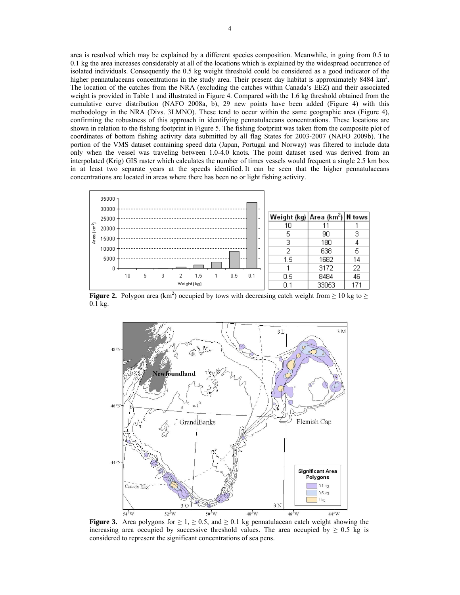area is resolved which may be explained by a different species composition. Meanwhile, in going from 0.5 to 0.1 kg the area increases considerably at all of the locations which is explained by the widespread occurrence of isolated individuals. Consequently the 0.5 kg weight threshold could be considered as a good indicator of the higher pennatulaceans concentrations in the study area. Their present day habitat is approximately 8484 km<sup>2</sup>. The location of the catches from the NRA (excluding the catches within Canada's EEZ) and their associated weight is provided in Table 1 and illustrated in Figure 4. Compared with the 1.6 kg threshold obtained from the cumulative curve distribution (NAFO 2008a, b), 29 new points have been added (Figure 4) with this methodology in the NRA (Divs. 3LMNO). These tend to occur within the same geographic area (Figure 4), confirming the robustness of this approach in identifying pennatulaceans concentrations. These locations are shown in relation to the fishing footprint in Figure 5. The fishing footprint was taken from the composite plot of coordinates of bottom fishing activity data submitted by all flag States for 2003-2007 (NAFO 2009b). The portion of the VMS dataset containing speed data (Japan, Portugal and Norway) was filtered to include data only when the vessel was traveling between 1.0-4.0 knots*.* The point dataset used was derived from an interpolated (Krig) GIS raster which calculates the number of times vessels would frequent a single 2.5 km box in at least two separate years at the speeds identified. It can be seen that the higher pennatulaceans concentrations are located in areas where there has been no or light fishing activity.



**Figure 2.** Polygon area (km<sup>2</sup>) occupied by tows with decreasing catch weight from  $\geq 10$  kg to  $\geq$ 0.1 kg.



**Figure 3.** Area polygons for  $\geq 1$ ,  $\geq 0.5$ , and  $\geq 0.1$  kg pennatulacean catch weight showing the increasing area occupied by successive threshold values. The area occupied by  $\geq 0.5$  kg is considered to represent the significant concentrations of sea pens.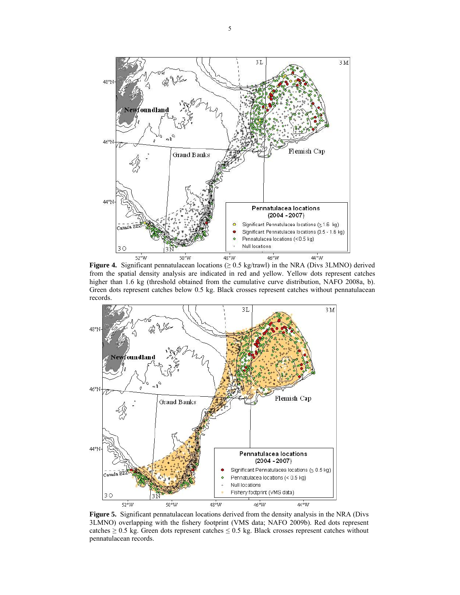

**Figure 4.** Significant pennatulacean locations ( $\geq$  0.5 kg/trawl) in the NRA (Divs 3LMNO) derived from the spatial density analysis are indicated in red and yellow. Yellow dots represent catches higher than 1.6 kg (threshold obtained from the cumulative curve distribution, NAFO 2008a, b). Green dots represent catches below 0.5 kg. Black crosses represent catches without pennatulacean records.



**Figure 5.** Significant pennatulacean locations derived from the density analysis in the NRA (Divs 3LMNO) overlapping with the fishery footprint (VMS data; NAFO 2009b). Red dots represent catches  $\geq 0.5$  kg. Green dots represent catches  $\leq 0.5$  kg. Black crosses represent catches without pennatulacean records.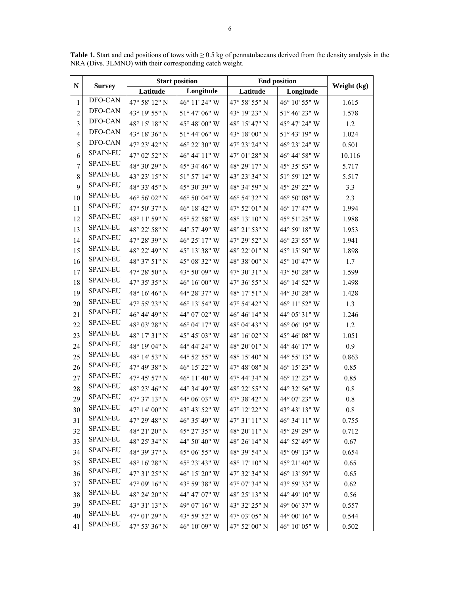| $\mathbf N$             | <b>Survey</b>   | <b>Start position</b>    |                          | <b>End position</b>                              |                        |             |
|-------------------------|-----------------|--------------------------|--------------------------|--------------------------------------------------|------------------------|-------------|
|                         |                 | Latitude                 | Longitude                | Latitude                                         | Longitude              | Weight (kg) |
| $\mathbf{1}$            | DFO-CAN         | 47° 58' 12" N            | 46° 11' 24" W            | 47° 58' 55" N                                    | 46° 10' 55" W          | 1.615       |
| $\overline{c}$          | DFO-CAN         | 43° 19' 55" N            | $51^{\circ}$ 47' 06" W   | 43° 19' 23" N                                    | $51^{\circ}$ 46' 23" W | 1.578       |
| $\overline{\mathbf{3}}$ | DFO-CAN         | 48° 15' 18" N            | $45^{\circ}$ 48' 00" W   | 48° 15' 47" N                                    | 45° 47' 24" W          | 1.2         |
| $\overline{4}$          | DFO-CAN         | 43° 18' 36" N            | $51^{\circ}$ 44' 06" W   | 43° 18' 00" N                                    | 51° 43' 19" W          | 1.024       |
| 5                       | DFO-CAN         | 47° 23' 42" N            | 46° 22' 30" W            | 47° 23' 24" N                                    | 46° 23′ 24″ W          | 0.501       |
| 6                       | <b>SPAIN-EU</b> | 47° 02' 52" N            | 46° 44' 11" W            | $47^{\circ}$ 01' $28"$ N                         | 46° 44' 58" W          | 10.116      |
| $\boldsymbol{7}$        | <b>SPAIN-EU</b> | 48° 30' 29" N            | 45° 34' 46" W            | 48° 29' 17" N                                    | 45° 35′ 53″ W          | 5.717       |
| $\,$ $\,$               | <b>SPAIN-EU</b> | 43° 23' 15" N            | 51° 57' 14" W            | 43° 23' 34" N                                    | 51° 59' 12" W          | 5.517       |
| 9                       | <b>SPAIN-EU</b> | 48° 33' 45" N            | 45° 30' 39" W            | 48° 34' 59" N                                    | 45° 29' 22" W          | 3.3         |
| 10                      | <b>SPAIN-EU</b> | 46° 56' 02" N            | 46° 50' 04" W            | 46° 54' 32" N                                    | $46^{\circ}$ 50' 08" W | 2.3         |
| 11                      | <b>SPAIN-EU</b> | 47° 50' 37" N            | 46° 18' 42" W            | $47^{\circ}$ 52' 01" N                           | 46° 17' 47" W          | 1.994       |
| 12                      | <b>SPAIN-EU</b> | 48° 11' 59" N            | 45° 52' 58" W            | $48^{\circ}$ 13' $10"$ N                         | 45° 51' 25" W          | 1.988       |
| 13                      | <b>SPAIN-EU</b> | 48° 22' 58" N            | 44° 57' 49" W            | 48° 21' 53" N                                    | 44° 59' 18" W          | 1.953       |
| 14                      | <b>SPAIN-EU</b> | 47° 28' 39" N            | $46^{\circ}$ 25' 17" W   | 47° 29' 52" N                                    | 46° 23' 55" W          | 1.941       |
| 15                      | <b>SPAIN-EU</b> | 48° 22' 49" N            | 45° 13' 38" W            | 48° 22' 01" N                                    | $45^{\circ}$ 15' 50" W | 1.898       |
| 16                      | <b>SPAIN-EU</b> | 48° 37' 51" N            | 45° 08' 32" W            | 48° 38' 00" N                                    | $45^{\circ}$ 10' 47" W | 1.7         |
| 17                      | <b>SPAIN-EU</b> | $47^{\circ}$ 28' $50"$ N | 43° 50' 09" W            | 47° 30' 31" N                                    | 43° 50' 28" W          | 1.599       |
| 18                      | <b>SPAIN-EU</b> | 47° 35' 35" N            | $46^{\circ}$ 16' 00" W   | 47° 36' 55" N                                    | 46° 14' 52" W          | 1.498       |
| 19                      | <b>SPAIN-EU</b> | $48^{\circ}$ 16' $46"$ N | 44° 28' 37" W            | 48° 17' 51" N                                    | $44^{\circ}$ 30' 28" W | 1.428       |
| 20                      | <b>SPAIN-EU</b> | 47° 55' 23" N            | 46° 13' 54" W            | 47° 54' 42" N                                    | 46° 11' 52" W          | 1.3         |
| 21                      | <b>SPAIN-EU</b> | 46° 44' 49" N            | 44° 07' 02" W            | $46^{\circ}$ $46^{\prime}$ $14^{\prime\prime}$ N | 44° 05' 31" W          | 1.246       |
| 22                      | <b>SPAIN-EU</b> | 48° 03' 28" N            | $46^{\circ}$ 04' $17"$ W | 48° 04' 43" N                                    | $46^{\circ}$ 06' 19" W | 1.2         |
| 23                      | <b>SPAIN-EU</b> | 48° 17' 31" N            | 45° 45' 03" W            | 48° 16' 02" N                                    | 45° 46' 08" W          | 1.051       |
| 24                      | <b>SPAIN-EU</b> | 48° 19' 04" N            | 44° 44' 24" W            | 48° 20' 01" N                                    | $44^{\circ}$ 46' 17" W | 0.9         |
| 25                      | <b>SPAIN-EU</b> | 48° 14' 53" N            | 44° 52' 55" W            | 48° 15' 40" N                                    | 44° 55' 13" W          | 0.863       |
| 26                      | <b>SPAIN-EU</b> | 47° 49' 38" N            | 46° 15' 22" W            | 47° 48' 08" N                                    | 46° 15′ 23″ W          | 0.85        |
| 27                      | <b>SPAIN-EU</b> | 47° 45' 57" N            | 46° 11' 40" W            | 47° 44' 34" N                                    | 46° 12' 23" W          | 0.85        |
| 28                      | <b>SPAIN-EU</b> | 48° 23' 46" N            | 44° 34' 49" W            | 48° 22' 55" N                                    | 44° 32' 56" W          | $0.8\,$     |
| 29                      | <b>SPAIN-EU</b> | 47° 37' 13" N            | 44° 06' 03" W            | 47° 38' 42" N                                    | 44° 07' 23" W          | 0.8         |
| 30                      | <b>SPAIN-EU</b> | 47° 14' 00" N            | 43° 43' 52" W            | 47° 12' 22" N                                    | 43° 43' 13" W          | 0.8         |
| 31                      | <b>SPAIN-EU</b> | 47° 29' 48" N            | 46° 35' 49" W            | 47° 31' 11" N                                    | 46° 34′ 11″ W          | 0.755       |
| 32                      | <b>SPAIN-EU</b> | 48° 21' 20" N            | 45° 27' 35" W            | 48° 20' 11" N                                    | 45° 29' 29" W          | 0.712       |
| 33                      | <b>SPAIN-EU</b> | 48° 25' 34" N            | 44° 50' 40" W            | 48° 26' 14" N                                    | 44° 52' 49" W          | 0.67        |
| 34                      | <b>SPAIN-EU</b> | 48° 39' 37" N            | 45° 06' 55" W            | 48° 39' 54" N                                    | 45° 09' 13" W          | 0.654       |
| 35                      | <b>SPAIN-EU</b> | 48° 16' 28" N            | 45° 23′ 43″ W            | 48° 17' 10" N                                    | 45° 21′ 40″ W          | 0.65        |
| 36                      | <b>SPAIN-EU</b> | 47° 31' 25" N            | $46^{\circ}$ 15' 20" W   | 47° 32' 34" N                                    | 46° 13' 59" W          | 0.65        |
| 37                      | <b>SPAIN-EU</b> | 47° 09' 16" N            | 43° 59' 38" W            | 47° 07' 34" N                                    | 43° 59' 33" W          | 0.62        |
| 38                      | <b>SPAIN-EU</b> | 48° 24' 20" N            | 44° 47' 07" W            | 48° 25' 13" N                                    | 44° 49' 10" W          | 0.56        |
| 39                      | <b>SPAIN-EU</b> | 43° 31′ 13″ N            | 49° 07' 16" W            | 43° 32' 25" N                                    | 49° 06' 37" W          | 0.557       |
| 40                      | <b>SPAIN-EU</b> | 47° 01' 29" N            | 43° 59' 52" W            | 47° 03' 05" N                                    | 44° 00' 16" W          | 0.544       |
| 41                      | <b>SPAIN-EU</b> | 47° 53' 36" N            | 46° 10' 09" W            | $47^{\circ}$ 52' 00" N                           | $46^{\circ}$ 10' 05" W | 0.502       |

**Table 1.** Start and end positions of tows with ≥ 0.5 kg of pennatulaceans derived from the density analysis in the NRA (Divs. 3LMNO) with their corresponding catch weight.